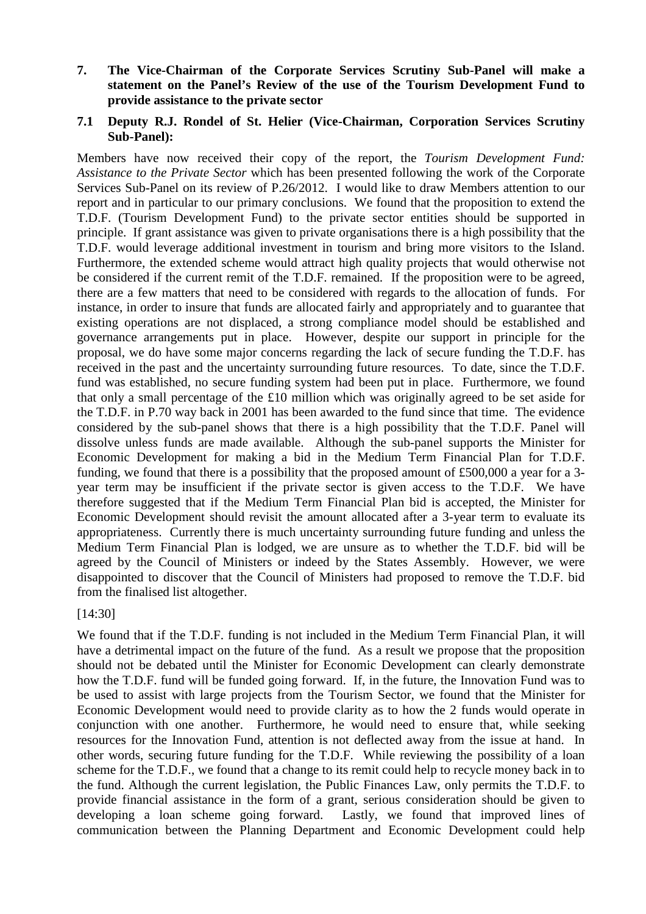**7. The Vice-Chairman of the Corporate Services Scrutiny Sub-Panel will make a statement on the Panel's Review of the use of the Tourism Development Fund to provide assistance to the private sector** 

#### **7.1 Deputy R.J. Rondel of St. Helier (Vice-Chairman, Corporation Services Scrutiny Sub-Panel):**

Members have now received their copy of the report, the *Tourism Development Fund: Assistance to the Private Sector* which has been presented following the work of the Corporate Services Sub-Panel on its review of P.26/2012. I would like to draw Members attention to our report and in particular to our primary conclusions. We found that the proposition to extend the T.D.F. (Tourism Development Fund) to the private sector entities should be supported in principle. If grant assistance was given to private organisations there is a high possibility that the T.D.F. would leverage additional investment in tourism and bring more visitors to the Island. Furthermore, the extended scheme would attract high quality projects that would otherwise not be considered if the current remit of the T.D.F. remained. If the proposition were to be agreed, there are a few matters that need to be considered with regards to the allocation of funds. For instance, in order to insure that funds are allocated fairly and appropriately and to guarantee that existing operations are not displaced, a strong compliance model should be established and governance arrangements put in place. However, despite our support in principle for the proposal, we do have some major concerns regarding the lack of secure funding the T.D.F. has received in the past and the uncertainty surrounding future resources. To date, since the T.D.F. fund was established, no secure funding system had been put in place. Furthermore, we found that only a small percentage of the £10 million which was originally agreed to be set aside for the T.D.F. in P.70 way back in 2001 has been awarded to the fund since that time. The evidence considered by the sub-panel shows that there is a high possibility that the T.D.F. Panel will dissolve unless funds are made available. Although the sub-panel supports the Minister for Economic Development for making a bid in the Medium Term Financial Plan for T.D.F. funding, we found that there is a possibility that the proposed amount of £500,000 a year for a 3 year term may be insufficient if the private sector is given access to the T.D.F. We have therefore suggested that if the Medium Term Financial Plan bid is accepted, the Minister for Economic Development should revisit the amount allocated after a 3-year term to evaluate its appropriateness. Currently there is much uncertainty surrounding future funding and unless the Medium Term Financial Plan is lodged, we are unsure as to whether the T.D.F. bid will be agreed by the Council of Ministers or indeed by the States Assembly. However, we were disappointed to discover that the Council of Ministers had proposed to remove the T.D.F. bid from the finalised list altogether.

[14:30]

We found that if the T.D.F. funding is not included in the Medium Term Financial Plan, it will have a detrimental impact on the future of the fund. As a result we propose that the proposition should not be debated until the Minister for Economic Development can clearly demonstrate how the T.D.F. fund will be funded going forward. If, in the future, the Innovation Fund was to be used to assist with large projects from the Tourism Sector, we found that the Minister for Economic Development would need to provide clarity as to how the 2 funds would operate in conjunction with one another. Furthermore, he would need to ensure that, while seeking resources for the Innovation Fund, attention is not deflected away from the issue at hand. In other words, securing future funding for the T.D.F. While reviewing the possibility of a loan scheme for the T.D.F., we found that a change to its remit could help to recycle money back in to the fund. Although the current legislation, the Public Finances Law, only permits the T.D.F. to provide financial assistance in the form of a grant, serious consideration should be given to developing a loan scheme going forward. Lastly, we found that improved lines of communication between the Planning Department and Economic Development could help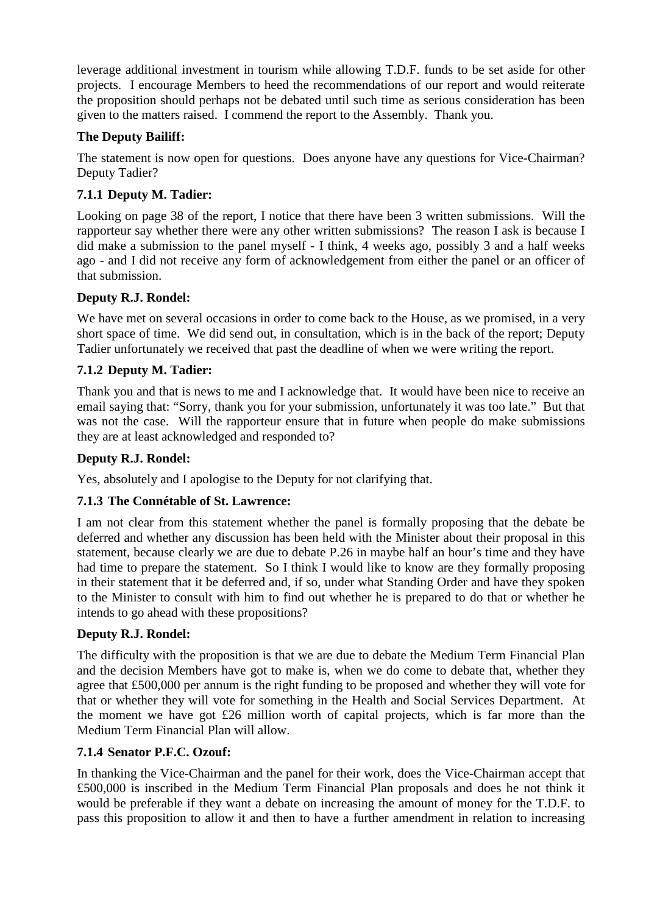leverage additional investment in tourism while allowing T.D.F. funds to be set aside for other projects. I encourage Members to heed the recommendations of our report and would reiterate the proposition should perhaps not be debated until such time as serious consideration has been given to the matters raised. I commend the report to the Assembly. Thank you.

#### **The Deputy Bailiff:**

The statement is now open for questions. Does anyone have any questions for Vice-Chairman? Deputy Tadier?

## **7.1.1 Deputy M. Tadier:**

Looking on page 38 of the report, I notice that there have been 3 written submissions. Will the rapporteur say whether there were any other written submissions? The reason I ask is because I did make a submission to the panel myself - I think, 4 weeks ago, possibly 3 and a half weeks ago - and I did not receive any form of acknowledgement from either the panel or an officer of that submission.

## **Deputy R.J. Rondel:**

We have met on several occasions in order to come back to the House, as we promised, in a very short space of time. We did send out, in consultation, which is in the back of the report; Deputy Tadier unfortunately we received that past the deadline of when we were writing the report.

## **7.1.2 Deputy M. Tadier:**

Thank you and that is news to me and I acknowledge that. It would have been nice to receive an email saying that: "Sorry, thank you for your submission, unfortunately it was too late." But that was not the case. Will the rapporteur ensure that in future when people do make submissions they are at least acknowledged and responded to?

#### **Deputy R.J. Rondel:**

Yes, absolutely and I apologise to the Deputy for not clarifying that.

## **7.1.3 The Connétable of St. Lawrence:**

I am not clear from this statement whether the panel is formally proposing that the debate be deferred and whether any discussion has been held with the Minister about their proposal in this statement, because clearly we are due to debate P.26 in maybe half an hour's time and they have had time to prepare the statement. So I think I would like to know are they formally proposing in their statement that it be deferred and, if so, under what Standing Order and have they spoken to the Minister to consult with him to find out whether he is prepared to do that or whether he intends to go ahead with these propositions?

#### **Deputy R.J. Rondel:**

The difficulty with the proposition is that we are due to debate the Medium Term Financial Plan and the decision Members have got to make is, when we do come to debate that, whether they agree that £500,000 per annum is the right funding to be proposed and whether they will vote for that or whether they will vote for something in the Health and Social Services Department. At the moment we have got £26 million worth of capital projects, which is far more than the Medium Term Financial Plan will allow.

#### **7.1.4 Senator P.F.C. Ozouf:**

In thanking the Vice-Chairman and the panel for their work, does the Vice-Chairman accept that £500,000 is inscribed in the Medium Term Financial Plan proposals and does he not think it would be preferable if they want a debate on increasing the amount of money for the T.D.F. to pass this proposition to allow it and then to have a further amendment in relation to increasing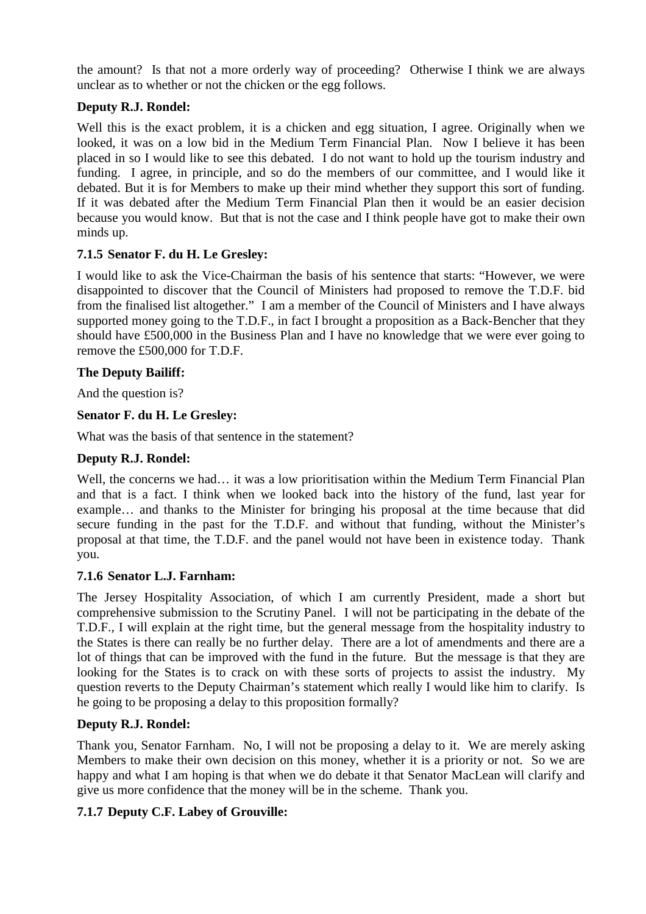the amount? Is that not a more orderly way of proceeding? Otherwise I think we are always unclear as to whether or not the chicken or the egg follows.

## **Deputy R.J. Rondel:**

Well this is the exact problem, it is a chicken and egg situation. I agree, Originally when we looked, it was on a low bid in the Medium Term Financial Plan. Now I believe it has been placed in so I would like to see this debated. I do not want to hold up the tourism industry and funding. I agree, in principle, and so do the members of our committee, and I would like it debated. But it is for Members to make up their mind whether they support this sort of funding. If it was debated after the Medium Term Financial Plan then it would be an easier decision because you would know. But that is not the case and I think people have got to make their own minds up.

## **7.1.5 Senator F. du H. Le Gresley:**

I would like to ask the Vice-Chairman the basis of his sentence that starts: "However, we were disappointed to discover that the Council of Ministers had proposed to remove the T.D.F. bid from the finalised list altogether." I am a member of the Council of Ministers and I have always supported money going to the T.D.F., in fact I brought a proposition as a Back-Bencher that they should have £500,000 in the Business Plan and I have no knowledge that we were ever going to remove the £500,000 for T.D.F.

## **The Deputy Bailiff:**

And the question is?

# **Senator F. du H. Le Gresley:**

What was the basis of that sentence in the statement?

## **Deputy R.J. Rondel:**

Well, the concerns we had… it was a low prioritisation within the Medium Term Financial Plan and that is a fact. I think when we looked back into the history of the fund, last year for example… and thanks to the Minister for bringing his proposal at the time because that did secure funding in the past for the T.D.F. and without that funding, without the Minister's proposal at that time, the T.D.F. and the panel would not have been in existence today. Thank you.

## **7.1.6 Senator L.J. Farnham:**

The Jersey Hospitality Association, of which I am currently President, made a short but comprehensive submission to the Scrutiny Panel. I will not be participating in the debate of the T.D.F., I will explain at the right time, but the general message from the hospitality industry to the States is there can really be no further delay. There are a lot of amendments and there are a lot of things that can be improved with the fund in the future. But the message is that they are looking for the States is to crack on with these sorts of projects to assist the industry. My question reverts to the Deputy Chairman's statement which really I would like him to clarify. Is he going to be proposing a delay to this proposition formally?

## **Deputy R.J. Rondel:**

Thank you, Senator Farnham. No, I will not be proposing a delay to it. We are merely asking Members to make their own decision on this money, whether it is a priority or not. So we are happy and what I am hoping is that when we do debate it that Senator MacLean will clarify and give us more confidence that the money will be in the scheme. Thank you.

## **7.1.7 Deputy C.F. Labey of Grouville:**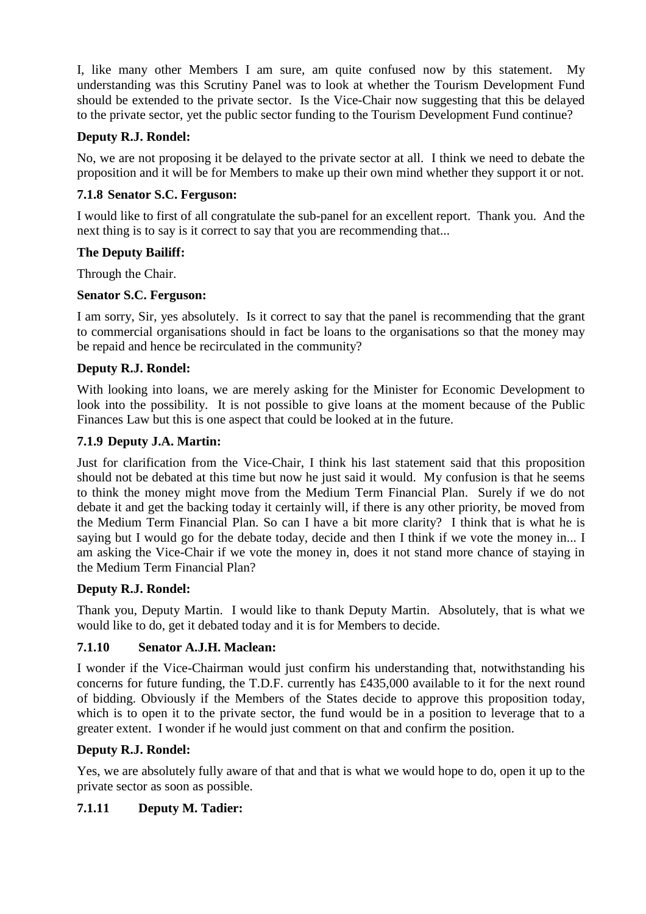I, like many other Members I am sure, am quite confused now by this statement. understanding was this Scrutiny Panel was to look at whether the Tourism Development Fund should be extended to the private sector. Is the Vice-Chair now suggesting that this be delayed to the private sector, yet the public sector funding to the Tourism Development Fund continue?

## **Deputy R.J. Rondel:**

No, we are not proposing it be delayed to the private sector at all. I think we need to debate the proposition and it will be for Members to make up their own mind whether they support it or not.

#### **7.1.8 Senator S.C. Ferguson:**

I would like to first of all congratulate the sub-panel for an excellent report. Thank you. And the next thing is to say is it correct to say that you are recommending that...

#### **The Deputy Bailiff:**

Through the Chair.

#### **Senator S.C. Ferguson:**

I am sorry, Sir, yes absolutely. Is it correct to say that the panel is recommending that the grant to commercial organisations should in fact be loans to the organisations so that the money may be repaid and hence be recirculated in the community?

#### **Deputy R.J. Rondel:**

With looking into loans, we are merely asking for the Minister for Economic Development to look into the possibility. It is not possible to give loans at the moment because of the Public Finances Law but this is one aspect that could be looked at in the future.

## **7.1.9 Deputy J.A. Martin:**

Just for clarification from the Vice-Chair, I think his last statement said that this proposition should not be debated at this time but now he just said it would. My confusion is that he seems to think the money might move from the Medium Term Financial Plan. Surely if we do not debate it and get the backing today it certainly will, if there is any other priority, be moved from the Medium Term Financial Plan. So can I have a bit more clarity? I think that is what he is saying but I would go for the debate today, decide and then I think if we vote the money in... I am asking the Vice-Chair if we vote the money in, does it not stand more chance of staying in the Medium Term Financial Plan?

#### **Deputy R.J. Rondel:**

Thank you, Deputy Martin. I would like to thank Deputy Martin. Absolutely, that is what we would like to do, get it debated today and it is for Members to decide.

#### **7.1.10 Senator A.J.H. Maclean:**

I wonder if the Vice-Chairman would just confirm his understanding that, notwithstanding his concerns for future funding, the T.D.F. currently has £435,000 available to it for the next round of bidding. Obviously if the Members of the States decide to approve this proposition today, which is to open it to the private sector, the fund would be in a position to leverage that to a greater extent. I wonder if he would just comment on that and confirm the position.

#### **Deputy R.J. Rondel:**

Yes, we are absolutely fully aware of that and that is what we would hope to do, open it up to the private sector as soon as possible.

## **7.1.11 Deputy M. Tadier:**